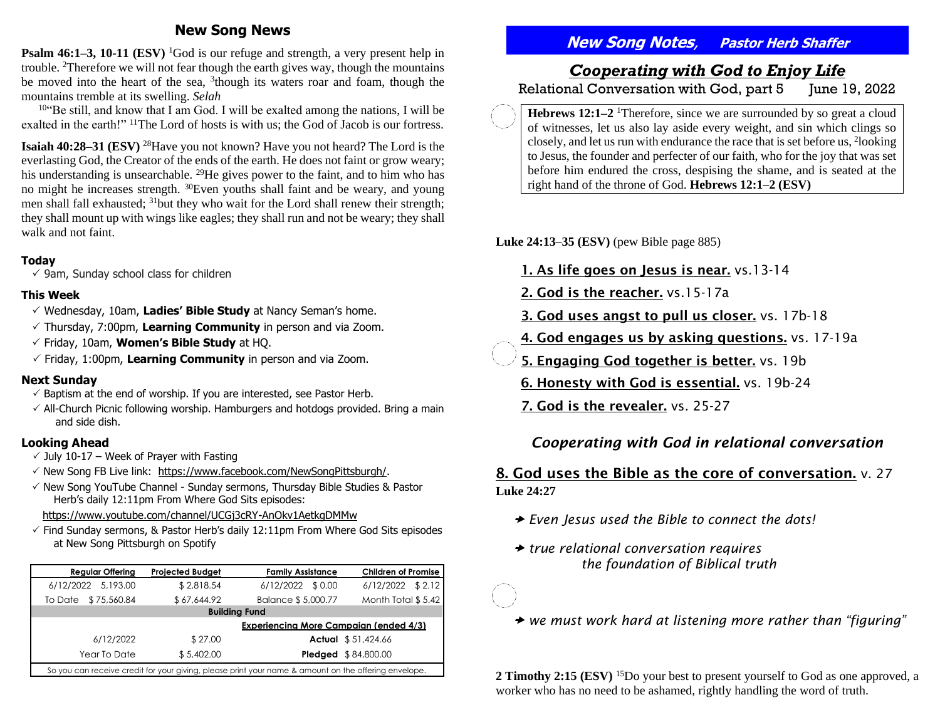### **New Song News**

**Psalm 46:1–3, 10-11 (ESV)** <sup>1</sup>God is our refuge and strength, a very present help in trouble. <sup>2</sup>Therefore we will not fear though the earth gives way, though the mountains be moved into the heart of the sea, <sup>3</sup> though its waters roar and foam, though the mountains tremble at its swelling. *Selah*

 $10^{10}$  Be still, and know that I am God. I will be exalted among the nations, I will be exalted in the earth!" <sup>11</sup>The Lord of hosts is with us; the God of Jacob is our fortress.

**Isaiah 40:28–31 (ESV)** <sup>28</sup>Have you not known? Have you not heard? The Lord is the everlasting God, the Creator of the ends of the earth. He does not faint or grow weary; his understanding is unsearchable. <sup>29</sup>He gives power to the faint, and to him who has no might he increases strength. <sup>30</sup>Even youths shall faint and be weary, and young men shall fall exhausted; <sup>31</sup>but they who wait for the Lord shall renew their strength; they shall mount up with wings like eagles; they shall run and not be weary; they shall walk and not faint.

#### **Today**

 $\checkmark$  9am, Sunday school class for children

### **This Week**

- Wednesday, 10am, **Ladies' Bible Study** at Nancy Seman's home.
- Thursday, 7:00pm, **Learning Community** in person and via Zoom.
- Friday, 10am, **Women's Bible Study** at HQ.
- $\checkmark$  Friday, 1:00pm, Learning Community in person and via Zoom.

### **Next Sunday**

- $\checkmark$  Baptism at the end of worship. If you are interested, see Pastor Herb.
- $\checkmark$  All-Church Picnic following worship. Hamburgers and hotdogs provided. Bring a main and side dish.

### **Looking Ahead**

- $\overline{y}$  July 10-17 Week of Prayer with Fasting
- $\checkmark$  New Song FB Live link: [https://www.facebook.com/NewSongPittsburgh/.](https://www.facebook.com/NewSongPittsburgh/)
- $\checkmark$  New Song YouTube Channel Sunday sermons, Thursday Bible Studies & Pastor Herb's daily 12:11pm From Where God Sits episodes:

<https://www.youtube.com/channel/UCGj3cRY-AnOkv1AetkgDMMw>

 $\checkmark$  Find Sunday sermons, & Pastor Herb's daily 12:11pm From Where God Sits episodes at New Song Pittsburgh on Spotify

| <b>Regular Offering</b>                                                                              | <b>Projected Budget</b> | <b>Family Assistance</b> | <b>Children of Promise</b> |
|------------------------------------------------------------------------------------------------------|-------------------------|--------------------------|----------------------------|
| 6/12/2022 5.193.00                                                                                   | \$2,818.54              | 6/12/2022 \$0.00         | $6/12/2022$ \$ 2.12        |
| \$75,560.84<br>To Date                                                                               | \$67,644.92             | Balance \$5,000.77       | Month Total \$5.42         |
| <b>Building Fund</b>                                                                                 |                         |                          |                            |
| <b>Experiencing More Campaign (ended 4/3)</b>                                                        |                         |                          |                            |
| 6/12/2022                                                                                            | \$27.00                 |                          | Actual \$51,424.66         |
| Year To Date                                                                                         | \$5,402.00              |                          | <b>Pledged</b> \$84,800.00 |
| So you can receive credit for your giving, please print your name & amount on the offering envelope. |                         |                          |                            |

# **New Song Notes**, **Pastor Herb Shaffer**

# *Cooperating with God to Enjoy Life*

Relational Conversation with God, part 5 June 19, 2022

**Hebrews 12:1–2** <sup>1</sup>Therefore, since we are surrounded by so great a cloud of witnesses, let us also lay aside every weight, and sin which clings so closely, and let us run with endurance the race that is set before us, <sup>2</sup> looking to Jesus, the founder and perfecter of our faith, who for the joy that was set before him endured the cross, despising the shame, and is seated at the right hand of the throne of God. **Hebrews 12:1–2 (ESV)**

**Luke 24:13–35 (ESV)** (pew Bible page 885)

- 1. As life goes on Jesus is near. vs.13-14
- 2. God is the reacher. vs.15-17a

3. God uses angst to pull us closer. vs. 17b-18

- 4. God engages us by asking questions. vs. 17-19a
- 5. Engaging God together is better. vs. 19b

6. Honesty with God is essential. vs. 19b-24

7. God is the revealer. vs. 25-27

## *Cooperating with God in relational conversation*

### 8. God uses the Bible as the core of conversation. v. 27

**Luke 24:27** 

- *Even Jesus used the Bible to connect the dots!*
- *true relational conversation requires the foundation of Biblical truth*
- *we must work hard at listening more rather than "figuring"*

**2 Timothy 2:15 (ESV)** <sup>15</sup>Do your best to present yourself to God as one approved, a worker who has no need to be ashamed, rightly handling the word of truth.